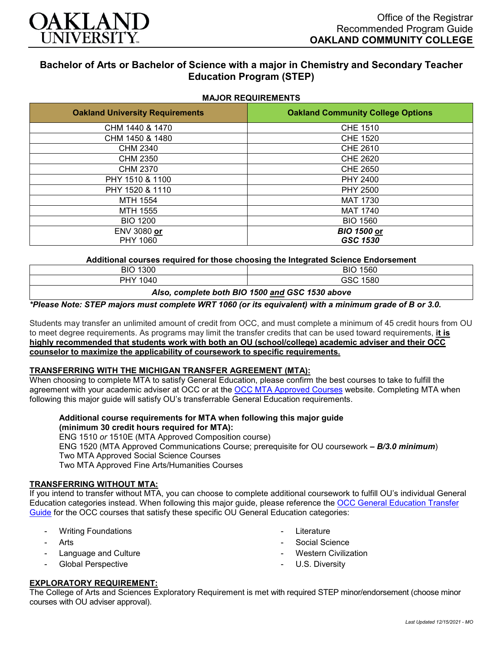

# **Bachelor of Arts or Bachelor of Science with a major in Chemistry and Secondary Teacher Education Program (STEP)**

| <b>Oakland University Requirements</b> | <b>Oakland Community College Options</b> |
|----------------------------------------|------------------------------------------|
| CHM 1440 & 1470                        | <b>CHE 1510</b>                          |
| CHM 1450 & 1480                        | <b>CHE 1520</b>                          |
| CHM 2340                               | CHE 2610                                 |
| <b>CHM 2350</b>                        | <b>CHE 2620</b>                          |
| CHM 2370                               | <b>CHE 2650</b>                          |
| PHY 1510 & 1100                        | <b>PHY 2400</b>                          |
| PHY 1520 & 1110                        | <b>PHY 2500</b>                          |
| MTH 1554                               | <b>MAT 1730</b>                          |
| MTH 1555                               | <b>MAT 1740</b>                          |
| <b>BIO 1200</b>                        | <b>BIO 1560</b>                          |
| ENV 3080 or                            | <b>BIO 1500 or</b>                       |
| PHY 1060                               | GSC 1530                                 |

**Additional courses required for those choosing the Integrated Science Endorsement**

| <b>BIO 1300</b>                                 | <b>BIO 1560</b> |
|-------------------------------------------------|-----------------|
| PHY 1040                                        | GSC 1580        |
| Also, complete both BIO 1500 and GSC 1530 above |                 |

*\*Please Note: STEP majors must complete WRT 1060 (or its equivalent) with a minimum grade of B or 3.0.*

Students may transfer an unlimited amount of credit from OCC, and must complete a minimum of 45 credit hours from OU to meet degree requirements. As programs may limit the transfer credits that can be used toward requirements, **it is highly recommended that students work with both an OU (school/college) academic adviser and their OCC counselor to maximize the applicability of coursework to specific requirements.**

# **TRANSFERRING WITH THE MICHIGAN TRANSFER AGREEMENT (MTA):**

When choosing to complete MTA to satisfy General Education, please confirm the best courses to take to fulfill the agreement with your academic adviser at OCC or at the [OCC MTA Approved Courses](http://catalog.oaklandcc.edu/graduation-requirements/michigan-transfer-agreement/) website. Completing MTA when following this major guide will satisfy OU's transferrable General Education requirements.

**Additional course requirements for MTA when following this major guide (minimum 30 credit hours required for MTA):**

ENG 1510 *or* 1510E (MTA Approved Composition course) ENG 1520 (MTA Approved Communications Course; prerequisite for OU coursework *– B/3.0 minimum*) Two MTA Approved Social Science Courses Two MTA Approved Fine Arts/Humanities Courses

#### **TRANSFERRING WITHOUT MTA:**

If you intend to transfer without MTA, you can choose to complete additional coursework to fulfill OU's individual General Education categories instead. When following this major guide, please reference the [OCC General Education Transfer](https://www.oakland.edu/Assets/Oakland/program-guides/oakland-community-college/university-general-education-requirements/OCC%20Gen%20Ed.pdf)  [Guide](https://www.oakland.edu/Assets/Oakland/program-guides/oakland-community-college/university-general-education-requirements/OCC%20Gen%20Ed.pdf) for the OCC courses that satisfy these specific OU General Education categories:

- Writing Foundations
- **Arts**
- Language and Culture
- Global Perspective
- **Literature**
- Social Science
- **Western Civilization**
- U.S. Diversity

# **EXPLORATORY REQUIREMENT:**

The College of Arts and Sciences Exploratory Requirement is met with required STEP minor/endorsement (choose minor courses with OU adviser approval).